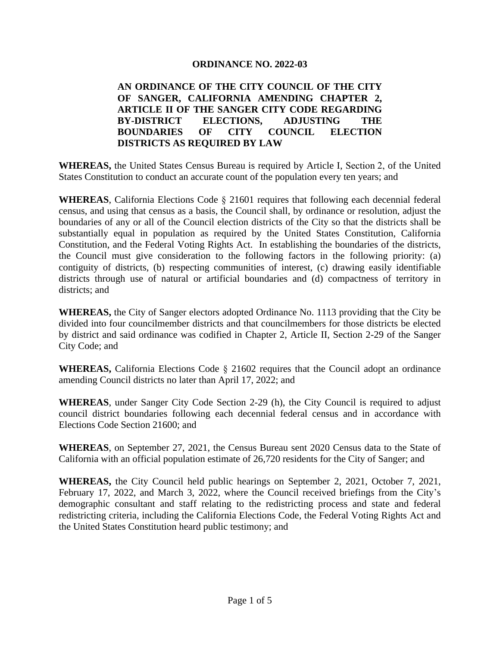#### **ORDINANCE NO. 2022-03**

#### **AN ORDINANCE OF THE CITY COUNCIL OF THE CITY OF SANGER, CALIFORNIA AMENDING CHAPTER 2, ARTICLE II OF THE SANGER CITY CODE REGARDING BY-DISTRICT ELECTIONS, ADJUSTING THE BOUNDARIES OF CITY COUNCIL ELECTION DISTRICTS AS REQUIRED BY LAW**

**WHEREAS,** the United States Census Bureau is required by Article I, Section 2, of the United States Constitution to conduct an accurate count of the population every ten years; and

**WHEREAS**, California Elections Code § 21601 requires that following each decennial federal census, and using that census as a basis, the Council shall, by ordinance or resolution, adjust the boundaries of any or all of the Council election districts of the City so that the districts shall be substantially equal in population as required by the United States Constitution, California Constitution, and the Federal Voting Rights Act. In establishing the boundaries of the districts, the Council must give consideration to the following factors in the following priority: (a) contiguity of districts, (b) respecting communities of interest, (c) drawing easily identifiable districts through use of natural or artificial boundaries and (d) compactness of territory in districts; and

**WHEREAS,** the City of Sanger electors adopted Ordinance No. 1113 providing that the City be divided into four councilmember districts and that councilmembers for those districts be elected by district and said ordinance was codified in Chapter 2, Article II, Section 2-29 of the Sanger City Code; and

**WHEREAS,** California Elections Code § 21602 requires that the Council adopt an ordinance amending Council districts no later than April 17, 2022; and

**WHEREAS**, under Sanger City Code Section 2-29 (h), the City Council is required to adjust council district boundaries following each decennial federal census and in accordance with Elections Code Section 21600; and

**WHEREAS**, on September 27, 2021, the Census Bureau sent 2020 Census data to the State of California with an official population estimate of 26,720 residents for the City of Sanger; and

**WHEREAS,** the City Council held public hearings on September 2, 2021, October 7, 2021, February 17, 2022, and March 3, 2022, where the Council received briefings from the City's demographic consultant and staff relating to the redistricting process and state and federal redistricting criteria, including the California Elections Code, the Federal Voting Rights Act and the United States Constitution heard public testimony; and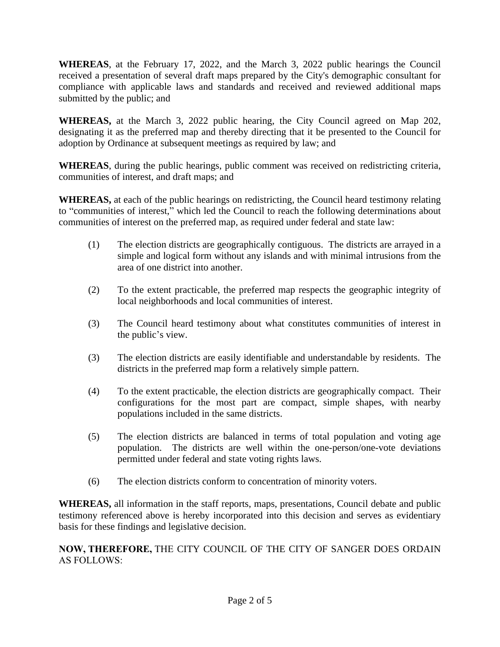**WHEREAS**, at the February 17, 2022, and the March 3, 2022 public hearings the Council received a presentation of several draft maps prepared by the City's demographic consultant for compliance with applicable laws and standards and received and reviewed additional maps submitted by the public; and

**WHEREAS,** at the March 3, 2022 public hearing, the City Council agreed on Map 202, designating it as the preferred map and thereby directing that it be presented to the Council for adoption by Ordinance at subsequent meetings as required by law; and

**WHEREAS**, during the public hearings, public comment was received on redistricting criteria, communities of interest, and draft maps; and

**WHEREAS,** at each of the public hearings on redistricting, the Council heard testimony relating to "communities of interest," which led the Council to reach the following determinations about communities of interest on the preferred map, as required under federal and state law:

- (1) The election districts are geographically contiguous. The districts are arrayed in a simple and logical form without any islands and with minimal intrusions from the area of one district into another.
- (2) To the extent practicable, the preferred map respects the geographic integrity of local neighborhoods and local communities of interest.
- (3) The Council heard testimony about what constitutes communities of interest in the public's view.
- (3) The election districts are easily identifiable and understandable by residents. The districts in the preferred map form a relatively simple pattern.
- (4) To the extent practicable, the election districts are geographically compact. Their configurations for the most part are compact, simple shapes, with nearby populations included in the same districts.
- (5) The election districts are balanced in terms of total population and voting age population. The districts are well within the one-person/one-vote deviations permitted under federal and state voting rights laws.
- (6) The election districts conform to concentration of minority voters.

**WHEREAS,** all information in the staff reports, maps, presentations, Council debate and public testimony referenced above is hereby incorporated into this decision and serves as evidentiary basis for these findings and legislative decision.

**NOW, THEREFORE,** THE CITY COUNCIL OF THE CITY OF SANGER DOES ORDAIN AS FOLLOWS: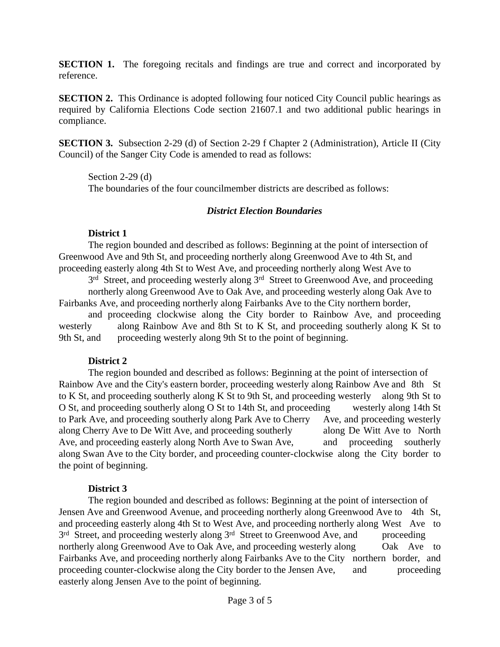**SECTION 1.** The foregoing recitals and findings are true and correct and incorporated by reference.

**SECTION 2.** This Ordinance is adopted following four noticed City Council public hearings as required by California Elections Code section 21607.1 and two additional public hearings in compliance.

**SECTION 3.** Subsection 2-29 (d) of Section 2-29 f Chapter 2 (Administration), Article II (City Council) of the Sanger City Code is amended to read as follows:

Section 2-29 (d) The boundaries of the four councilmember districts are described as follows:

### *District Election Boundaries*

# **District 1**

The region bounded and described as follows: Beginning at the point of intersection of Greenwood Ave and 9th St, and proceeding northerly along Greenwood Ave to 4th St, and proceeding easterly along 4th St to West Ave, and proceeding northerly along West Ave to

3<sup>rd</sup> Street, and proceeding westerly along 3<sup>rd</sup> Street to Greenwood Ave, and proceeding northerly along Greenwood Ave to Oak Ave, and proceeding westerly along Oak Ave to Fairbanks Ave, and proceeding northerly along Fairbanks Ave to the City northern border,

and proceeding clockwise along the City border to Rainbow Ave, and proceeding westerly along Rainbow Ave and 8th St to K St, and proceeding southerly along K St to 9th St, and proceeding westerly along 9th St to the point of beginning.

# **District 2**

The region bounded and described as follows: Beginning at the point of intersection of Rainbow Ave and the City's eastern border, proceeding westerly along Rainbow Ave and 8th St to K St, and proceeding southerly along K St to 9th St, and proceeding westerly along 9th St to O St, and proceeding southerly along O St to 14th St, and proceeding westerly along 14th St to Park Ave, and proceeding southerly along Park Ave to Cherry Ave, and proceeding westerly along Cherry Ave to De Witt Ave, and proceeding southerly along De Witt Ave to North Ave, and proceeding easterly along North Ave to Swan Ave, and proceeding southerly along Swan Ave to the City border, and proceeding counter-clockwise along the City border to the point of beginning.

# **District 3**

The region bounded and described as follows: Beginning at the point of intersection of Jensen Ave and Greenwood Avenue, and proceeding northerly along Greenwood Ave to 4th St, and proceeding easterly along 4th St to West Ave, and proceeding northerly along West Ave to 3<sup>rd</sup> Street, and proceeding westerly along 3<sup>rd</sup> Street to Greenwood Ave, and proceeding northerly along Greenwood Ave to Oak Ave, and proceeding westerly along Oak Ave to Fairbanks Ave, and proceeding northerly along Fairbanks Ave to the City northern border, and proceeding counter-clockwise along the City border to the Jensen Ave, and proceeding easterly along Jensen Ave to the point of beginning.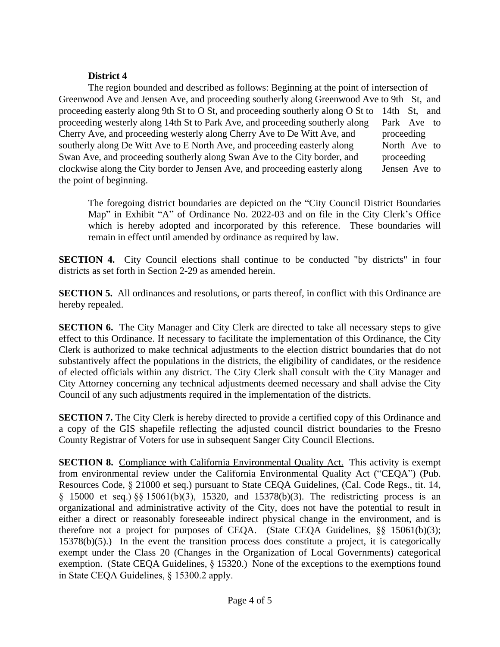#### **District 4**

The region bounded and described as follows: Beginning at the point of intersection of Greenwood Ave and Jensen Ave, and proceeding southerly along Greenwood Ave to 9th St, and proceeding easterly along 9th St to O St, and proceeding southerly along O St to 14th St, and proceeding westerly along 14th St to Park Ave, and proceeding southerly along Park Ave to Cherry Ave, and proceeding westerly along Cherry Ave to De Witt Ave, and proceeding southerly along De Witt Ave to E North Ave, and proceeding easterly along North Ave to Swan Ave, and proceeding southerly along Swan Ave to the City border, and proceeding clockwise along the City border to Jensen Ave, and proceeding easterly along Jensen Ave to the point of beginning.

The foregoing district boundaries are depicted on the "City Council District Boundaries Map" in Exhibit "A" of Ordinance No. 2022-03 and on file in the City Clerk's Office which is hereby adopted and incorporated by this reference. These boundaries will remain in effect until amended by ordinance as required by law.

**SECTION 4.** City Council elections shall continue to be conducted "by districts" in four districts as set forth in Section 2-29 as amended herein.

**SECTION 5.** All ordinances and resolutions, or parts thereof, in conflict with this Ordinance are hereby repealed.

**SECTION 6.** The City Manager and City Clerk are directed to take all necessary steps to give effect to this Ordinance. If necessary to facilitate the implementation of this Ordinance, the City Clerk is authorized to make technical adjustments to the election district boundaries that do not substantively affect the populations in the districts, the eligibility of candidates, or the residence of elected officials within any district. The City Clerk shall consult with the City Manager and City Attorney concerning any technical adjustments deemed necessary and shall advise the City Council of any such adjustments required in the implementation of the districts.

**SECTION 7.** The City Clerk is hereby directed to provide a certified copy of this Ordinance and a copy of the GIS shapefile reflecting the adjusted council district boundaries to the Fresno County Registrar of Voters for use in subsequent Sanger City Council Elections.

**SECTION 8.** Compliance with California Environmental Quality Act. This activity is exempt from environmental review under the California Environmental Quality Act ("CEQA") (Pub. Resources Code, § 21000 et seq.) pursuant to State CEQA Guidelines, (Cal. Code Regs., tit. 14, § 15000 et seq.) §§ 15061(b)(3), 15320, and 15378(b)(3). The redistricting process is an organizational and administrative activity of the City, does not have the potential to result in either a direct or reasonably foreseeable indirect physical change in the environment, and is therefore not a project for purposes of CEQA. (State CEQA Guidelines, §§ 15061(b)(3);  $15378(b)(5)$ .) In the event the transition process does constitute a project, it is categorically exempt under the Class 20 (Changes in the Organization of Local Governments) categorical exemption. (State CEQA Guidelines, § 15320.) None of the exceptions to the exemptions found in State CEQA Guidelines, § 15300.2 apply.